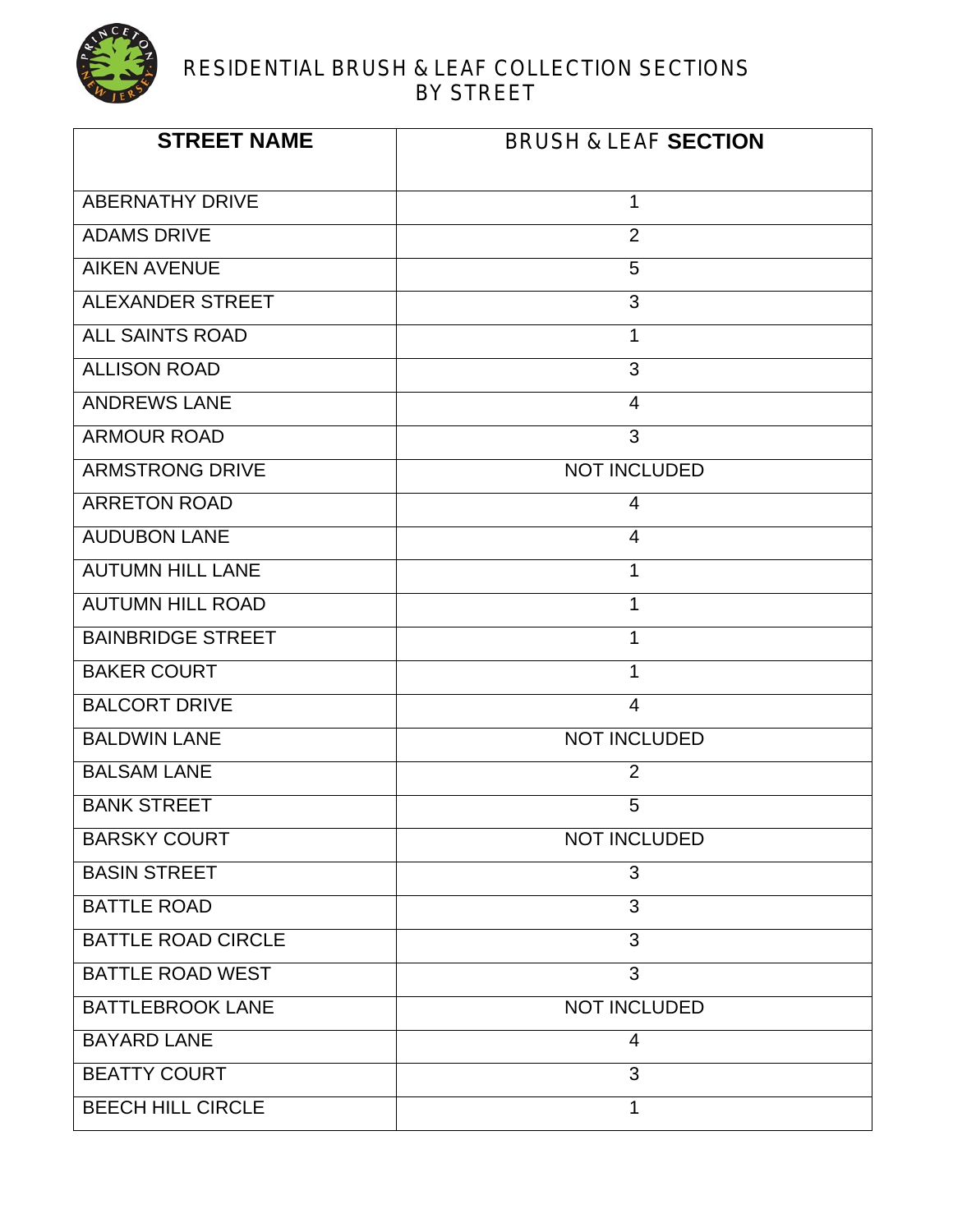

#### RESIDENTIAL BRUSH & LEAF COLLECTION SECTIONS BY STREET

| <b>STREET NAME</b>        | <b>BRUSH &amp; LEAF SECTION</b> |
|---------------------------|---------------------------------|
| <b>ABERNATHY DRIVE</b>    | 1                               |
| <b>ADAMS DRIVE</b>        | 2                               |
| <b>AIKEN AVENUE</b>       | 5                               |
| <b>ALEXANDER STREET</b>   | 3                               |
| <b>ALL SAINTS ROAD</b>    | $\mathbf{1}$                    |
| <b>ALLISON ROAD</b>       | 3                               |
| <b>ANDREWS LANE</b>       | $\overline{4}$                  |
| <b>ARMOUR ROAD</b>        | 3                               |
| <b>ARMSTRONG DRIVE</b>    | <b>NOT INCLUDED</b>             |
| <b>ARRETON ROAD</b>       | 4                               |
| <b>AUDUBON LANE</b>       | $\overline{4}$                  |
| <b>AUTUMN HILL LANE</b>   | $\mathbf 1$                     |
| <b>AUTUMN HILL ROAD</b>   | 1                               |
| <b>BAINBRIDGE STREET</b>  | 1                               |
| <b>BAKER COURT</b>        | 1                               |
| <b>BALCORT DRIVE</b>      | $\overline{4}$                  |
| <b>BALDWIN LANE</b>       | <b>NOT INCLUDED</b>             |
| <b>BALSAM LANE</b>        | $\overline{2}$                  |
| <b>BANK STREET</b>        | 5                               |
| <b>BARSKY COURT</b>       | <b>NOT INCLUDED</b>             |
| <b>BASIN STREET</b>       | 3                               |
| <b>BATTLE ROAD</b>        | 3                               |
| <b>BATTLE ROAD CIRCLE</b> | 3                               |
| <b>BATTLE ROAD WEST</b>   | 3                               |
| <b>BATTLEBROOK LANE</b>   | <b>NOT INCLUDED</b>             |
| <b>BAYARD LANE</b>        | $\overline{4}$                  |
| <b>BEATTY COURT</b>       | 3                               |
| <b>BEECH HILL CIRCLE</b>  | 1                               |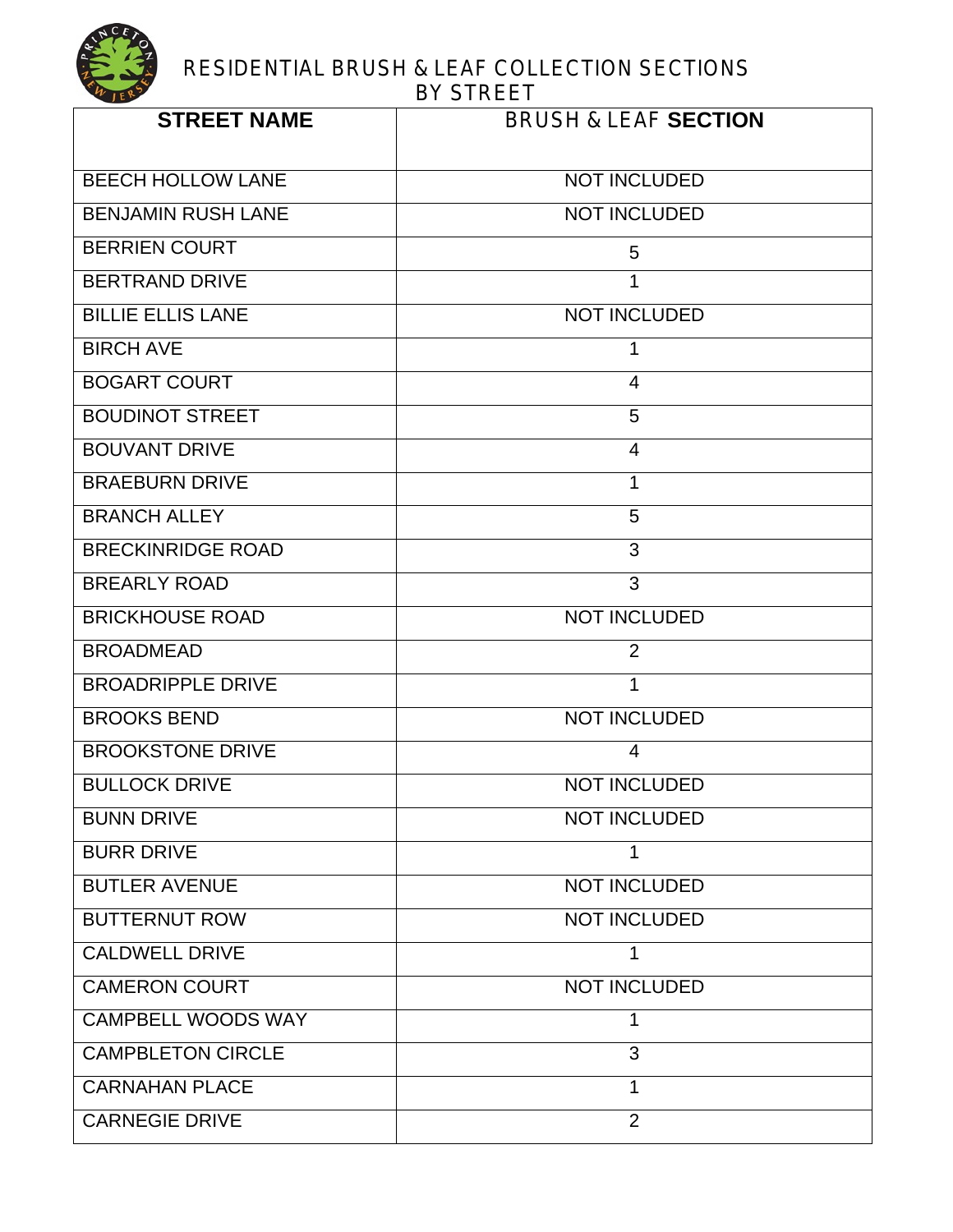| <b>STREET NAME</b>        | <b>BRUSH &amp; LEAF SECTION</b> |
|---------------------------|---------------------------------|
| <b>BEECH HOLLOW LANE</b>  | <b>NOT INCLUDED</b>             |
| <b>BENJAMIN RUSH LANE</b> | <b>NOT INCLUDED</b>             |
| <b>BERRIEN COURT</b>      | 5                               |
| <b>BERTRAND DRIVE</b>     | 1                               |
| <b>BILLIE ELLIS LANE</b>  | <b>NOT INCLUDED</b>             |
| <b>BIRCH AVE</b>          | 1                               |
| <b>BOGART COURT</b>       | $\overline{4}$                  |
| <b>BOUDINOT STREET</b>    | 5                               |
| <b>BOUVANT DRIVE</b>      | $\overline{4}$                  |
| <b>BRAEBURN DRIVE</b>     | 1                               |
| <b>BRANCH ALLEY</b>       | 5                               |
| <b>BRECKINRIDGE ROAD</b>  | 3                               |
| <b>BREARLY ROAD</b>       | 3                               |
| <b>BRICKHOUSE ROAD</b>    | <b>NOT INCLUDED</b>             |
| <b>BROADMEAD</b>          | $\overline{2}$                  |
| <b>BROADRIPPLE DRIVE</b>  | 1                               |
| <b>BROOKS BEND</b>        | <b>NOT INCLUDED</b>             |
| <b>BROOKSTONE DRIVE</b>   | $\overline{4}$                  |
| <b>BULLOCK DRIVE</b>      | <b>NOT INCLUDED</b>             |
| <b>BUNN DRIVE</b>         | <b>NOT INCLUDED</b>             |
| <b>BURR DRIVE</b>         | 1                               |
| <b>BUTLER AVENUE</b>      | <b>NOT INCLUDED</b>             |
| <b>BUTTERNUT ROW</b>      | <b>NOT INCLUDED</b>             |
| CALDWELL DRIVE            |                                 |
| <b>CAMERON COURT</b>      | <b>NOT INCLUDED</b>             |
| <b>CAMPBELL WOODS WAY</b> | 1                               |
| <b>CAMPBLETON CIRCLE</b>  | 3                               |
| <b>CARNAHAN PLACE</b>     | 1                               |
| <b>CARNEGIE DRIVE</b>     | $\overline{2}$                  |
|                           |                                 |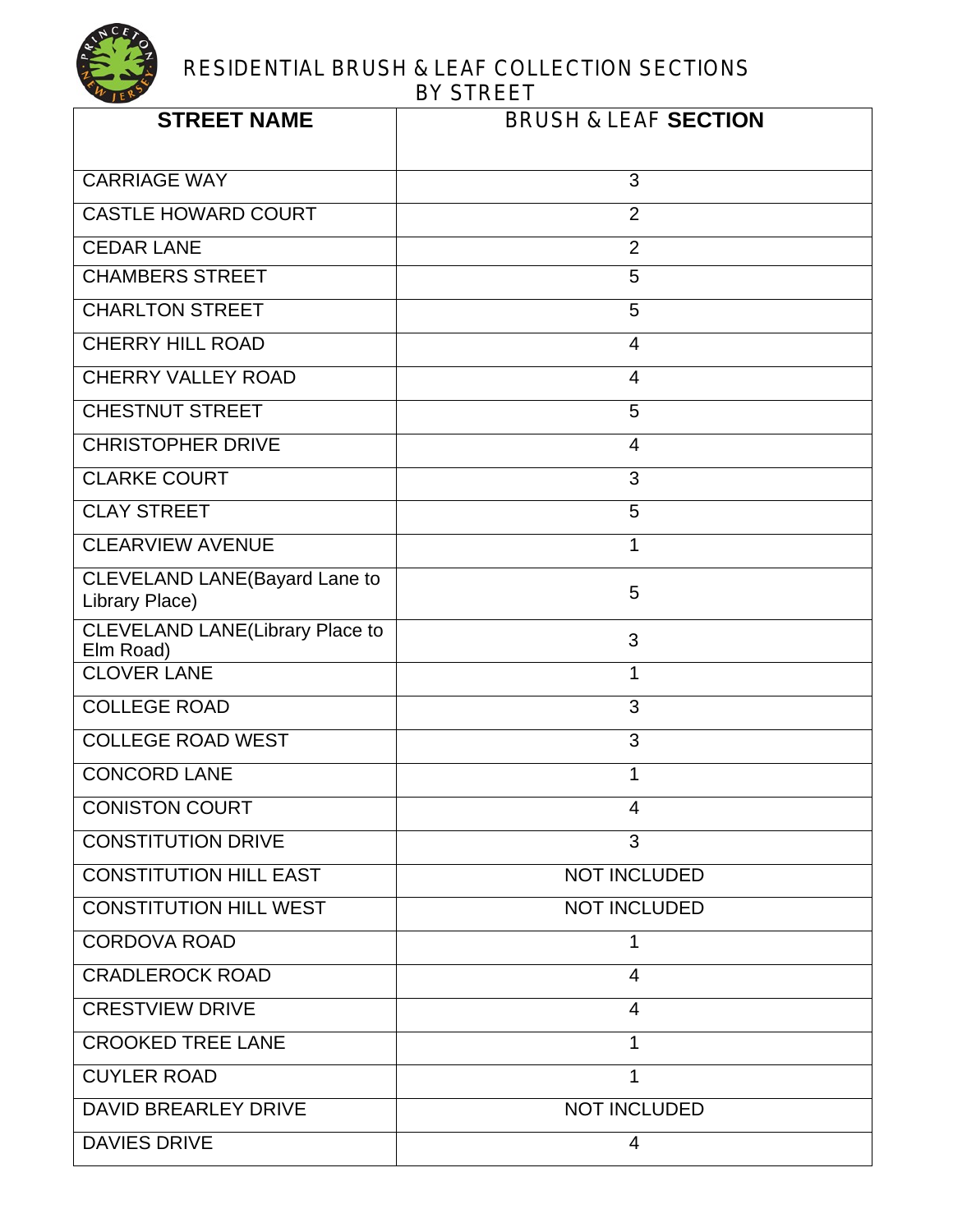

| <b>STREET NAME</b>                                  | <b>BRUSH &amp; LEAF SECTION</b> |
|-----------------------------------------------------|---------------------------------|
| <b>CARRIAGE WAY</b>                                 | 3                               |
| <b>CASTLE HOWARD COURT</b>                          | $\overline{2}$                  |
| <b>CEDAR LANE</b>                                   | $\overline{2}$                  |
| <b>CHAMBERS STREET</b>                              | 5                               |
| <b>CHARLTON STREET</b>                              | 5                               |
| <b>CHERRY HILL ROAD</b>                             | $\overline{4}$                  |
| <b>CHERRY VALLEY ROAD</b>                           | 4                               |
| <b>CHESTNUT STREET</b>                              | 5                               |
| <b>CHRISTOPHER DRIVE</b>                            | $\overline{4}$                  |
| <b>CLARKE COURT</b>                                 | 3                               |
| <b>CLAY STREET</b>                                  | 5                               |
| <b>CLEARVIEW AVENUE</b>                             | 1                               |
| CLEVELAND LANE(Bayard Lane to<br>Library Place)     | 5                               |
| <b>CLEVELAND LANE(Library Place to</b><br>Elm Road) | 3                               |
| <b>CLOVER LANE</b>                                  | 1                               |
| <b>COLLEGE ROAD</b>                                 | 3                               |
| <b>COLLEGE ROAD WEST</b>                            | 3                               |
| <b>CONCORD LANE</b>                                 | 1                               |
| <b>CONISTON COURT</b>                               | $\overline{4}$                  |
| <b>CONSTITUTION DRIVE</b>                           | 3                               |
| <b>CONSTITUTION HILL EAST</b>                       | <b>NOT INCLUDED</b>             |
| <b>CONSTITUTION HILL WEST</b>                       | <b>NOT INCLUDED</b>             |
| <b>CORDOVA ROAD</b>                                 | 1                               |
| <b>CRADLEROCK ROAD</b>                              | 4                               |
| <b>CRESTVIEW DRIVE</b>                              | $\overline{4}$                  |
| <b>CROOKED TREE LANE</b>                            | 1                               |
| <b>CUYLER ROAD</b>                                  | 1                               |
| <b>DAVID BREARLEY DRIVE</b>                         | <b>NOT INCLUDED</b>             |
| <b>DAVIES DRIVE</b>                                 | $\overline{4}$                  |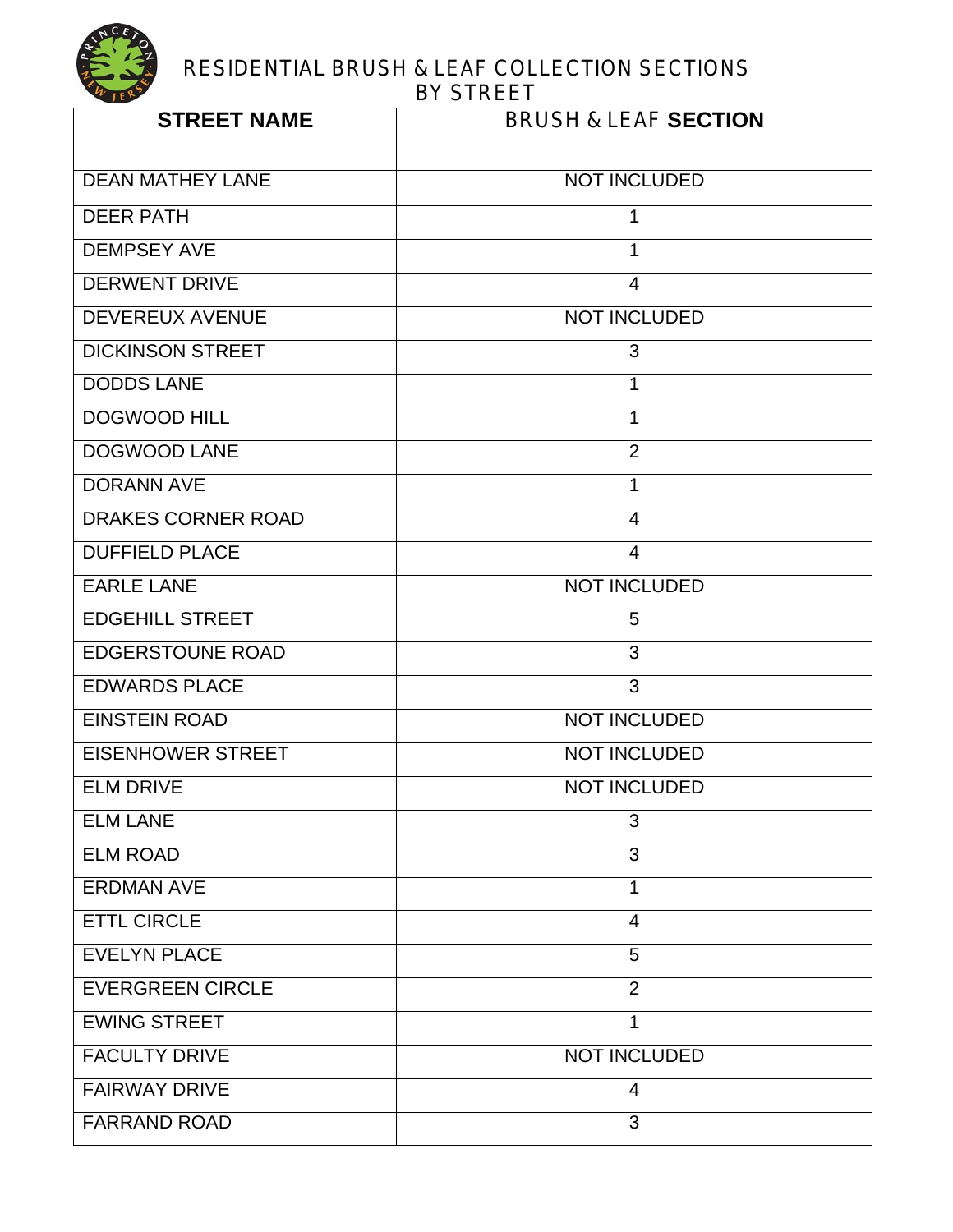| <b>STREET NAME</b>        | <b>BRUSH &amp; LEAF SECTION</b> |
|---------------------------|---------------------------------|
| <b>DEAN MATHEY LANE</b>   | <b>NOT INCLUDED</b>             |
| <b>DEER PATH</b>          | 1                               |
| <b>DEMPSEY AVE</b>        | 1                               |
| <b>DERWENT DRIVE</b>      | $\overline{4}$                  |
| <b>DEVEREUX AVENUE</b>    | <b>NOT INCLUDED</b>             |
| <b>DICKINSON STREET</b>   | 3                               |
| <b>DODDS LANE</b>         | 1                               |
| <b>DOGWOOD HILL</b>       | 1                               |
| <b>DOGWOOD LANE</b>       | $\overline{2}$                  |
| <b>DORANN AVE</b>         | $\overline{1}$                  |
| <b>DRAKES CORNER ROAD</b> | $\overline{4}$                  |
| <b>DUFFIELD PLACE</b>     | $\overline{4}$                  |
| <b>EARLE LANE</b>         | <b>NOT INCLUDED</b>             |
| <b>EDGEHILL STREET</b>    | 5                               |
| <b>EDGERSTOUNE ROAD</b>   | $\overline{3}$                  |
| <b>EDWARDS PLACE</b>      | 3                               |
| <b>EINSTEIN ROAD</b>      | <b>NOT INCLUDED</b>             |
| <b>EISENHOWER STREET</b>  | <b>NOT INCLUDED</b>             |
| <b>ELM DRIVE</b>          | <b>NOT INCLUDED</b>             |
| <b>ELM LANE</b>           | 3                               |
| <b>ELM ROAD</b>           | 3                               |
| <b>ERDMAN AVE</b>         | 1                               |
| <b>ETTL CIRCLE</b>        | $\overline{4}$                  |
| <b>EVELYN PLACE</b>       | 5                               |
| <b>EVERGREEN CIRCLE</b>   | $\overline{2}$                  |
| <b>EWING STREET</b>       | 1                               |
| <b>FACULTY DRIVE</b>      | <b>NOT INCLUDED</b>             |
| <b>FAIRWAY DRIVE</b>      | $\overline{4}$                  |
| <b>FARRAND ROAD</b>       | 3                               |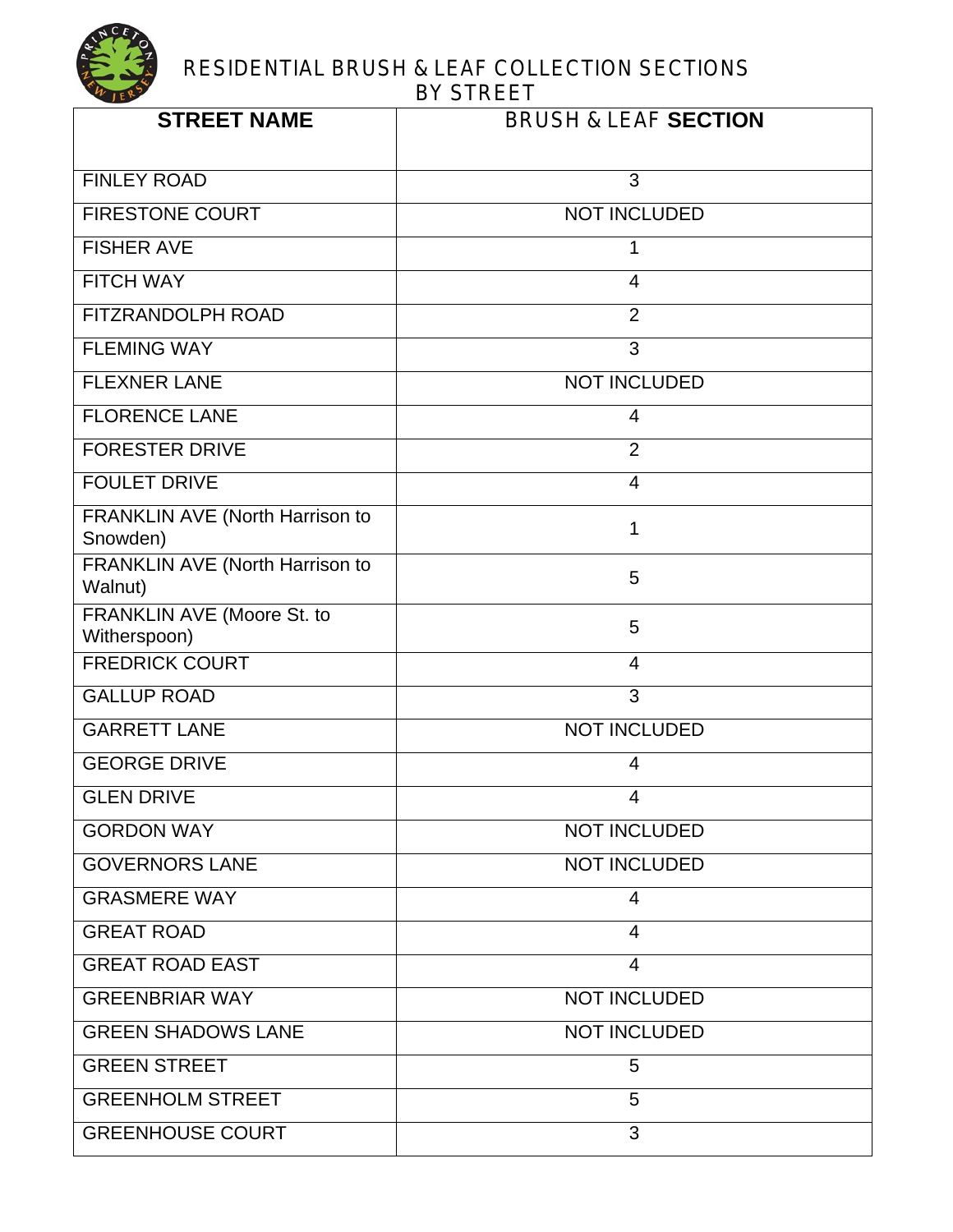| <b>STREET NAME</b>                          | <b>BRUSH &amp; LEAF SECTION</b> |
|---------------------------------------------|---------------------------------|
| <b>FINLEY ROAD</b>                          | 3                               |
| <b>FIRESTONE COURT</b>                      | <b>NOT INCLUDED</b>             |
| <b>FISHER AVE</b>                           | 1                               |
| <b>FITCH WAY</b>                            | 4                               |
| FITZRANDOLPH ROAD                           | $\overline{2}$                  |
| <b>FLEMING WAY</b>                          | 3                               |
| <b>FLEXNER LANE</b>                         | <b>NOT INCLUDED</b>             |
| <b>FLORENCE LANE</b>                        | 4                               |
| <b>FORESTER DRIVE</b>                       | $\overline{2}$                  |
| <b>FOULET DRIVE</b>                         | $\overline{4}$                  |
| FRANKLIN AVE (North Harrison to<br>Snowden) | 1                               |
| FRANKLIN AVE (North Harrison to<br>Walnut)  | 5                               |
| FRANKLIN AVE (Moore St. to<br>Witherspoon)  | 5                               |
| <b>FREDRICK COURT</b>                       | 4                               |
| <b>GALLUP ROAD</b>                          | 3                               |
| <b>GARRETT LANE</b>                         | <b>NOT INCLUDED</b>             |
| <b>GEORGE DRIVE</b>                         | 4                               |
| <b>GLEN DRIVE</b>                           | $\overline{4}$                  |
| <b>GORDON WAY</b>                           | <b>NOT INCLUDED</b>             |
| <b>GOVERNORS LANE</b>                       | <b>NOT INCLUDED</b>             |
| <b>GRASMERE WAY</b>                         | 4                               |
| <b>GREAT ROAD</b>                           | $\overline{4}$                  |
| <b>GREAT ROAD EAST</b>                      | $\overline{4}$                  |
| <b>GREENBRIAR WAY</b>                       | <b>NOT INCLUDED</b>             |
| <b>GREEN SHADOWS LANE</b>                   | <b>NOT INCLUDED</b>             |
| <b>GREEN STREET</b>                         | 5                               |
| <b>GREENHOLM STREET</b>                     | 5                               |
| <b>GREENHOUSE COURT</b>                     | 3                               |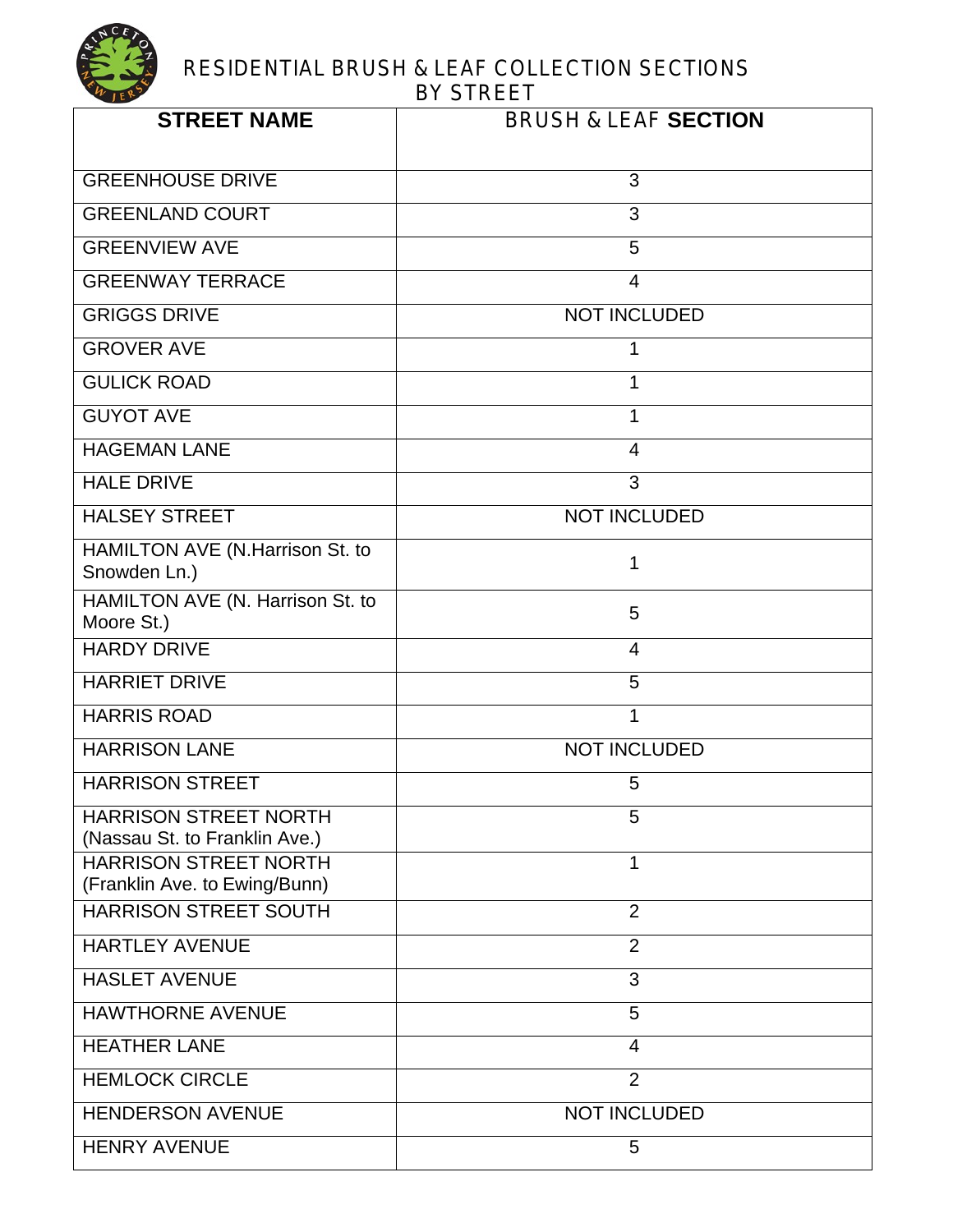| <b>STREET NAME</b>                                            | <b>BRUSH &amp; LEAF SECTION</b> |
|---------------------------------------------------------------|---------------------------------|
| <b>GREENHOUSE DRIVE</b>                                       | 3                               |
| <b>GREENLAND COURT</b>                                        | 3                               |
| <b>GREENVIEW AVE</b>                                          | 5                               |
| <b>GREENWAY TERRACE</b>                                       | $\overline{4}$                  |
| <b>GRIGGS DRIVE</b>                                           | <b>NOT INCLUDED</b>             |
| <b>GROVER AVE</b>                                             | 1                               |
| <b>GULICK ROAD</b>                                            | 1                               |
| <b>GUYOT AVE</b>                                              | 1                               |
| <b>HAGEMAN LANE</b>                                           | $\overline{4}$                  |
| <b>HALE DRIVE</b>                                             | 3                               |
| <b>HALSEY STREET</b>                                          | <b>NOT INCLUDED</b>             |
| HAMILTON AVE (N.Harrison St. to<br>Snowden Ln.)               | 1                               |
| HAMILTON AVE (N. Harrison St. to<br>Moore St.)                | 5                               |
| <b>HARDY DRIVE</b>                                            | $\overline{4}$                  |
| <b>HARRIET DRIVE</b>                                          | 5                               |
| <b>HARRIS ROAD</b>                                            | 1                               |
| <b>HARRISON LANE</b>                                          | <b>NOT INCLUDED</b>             |
| <b>HARRISON STREET</b>                                        | 5                               |
| <b>HARRISON STREET NORTH</b><br>(Nassau St. to Franklin Ave.) | 5                               |
| <b>HARRISON STREET NORTH</b><br>(Franklin Ave. to Ewing/Bunn) | 1                               |
| HARRISON STREET SOUTH                                         | $\overline{2}$                  |
| <b>HARTLEY AVENUE</b>                                         | $\overline{2}$                  |
| <b>HASLET AVENUE</b>                                          | 3                               |
| <b>HAWTHORNE AVENUE</b>                                       | 5                               |
| <b>HEATHER LANE</b>                                           | 4                               |
| <b>HEMLOCK CIRCLE</b>                                         | $\overline{2}$                  |
| <b>HENDERSON AVENUE</b>                                       | <b>NOT INCLUDED</b>             |
| <b>HENRY AVENUE</b>                                           | 5                               |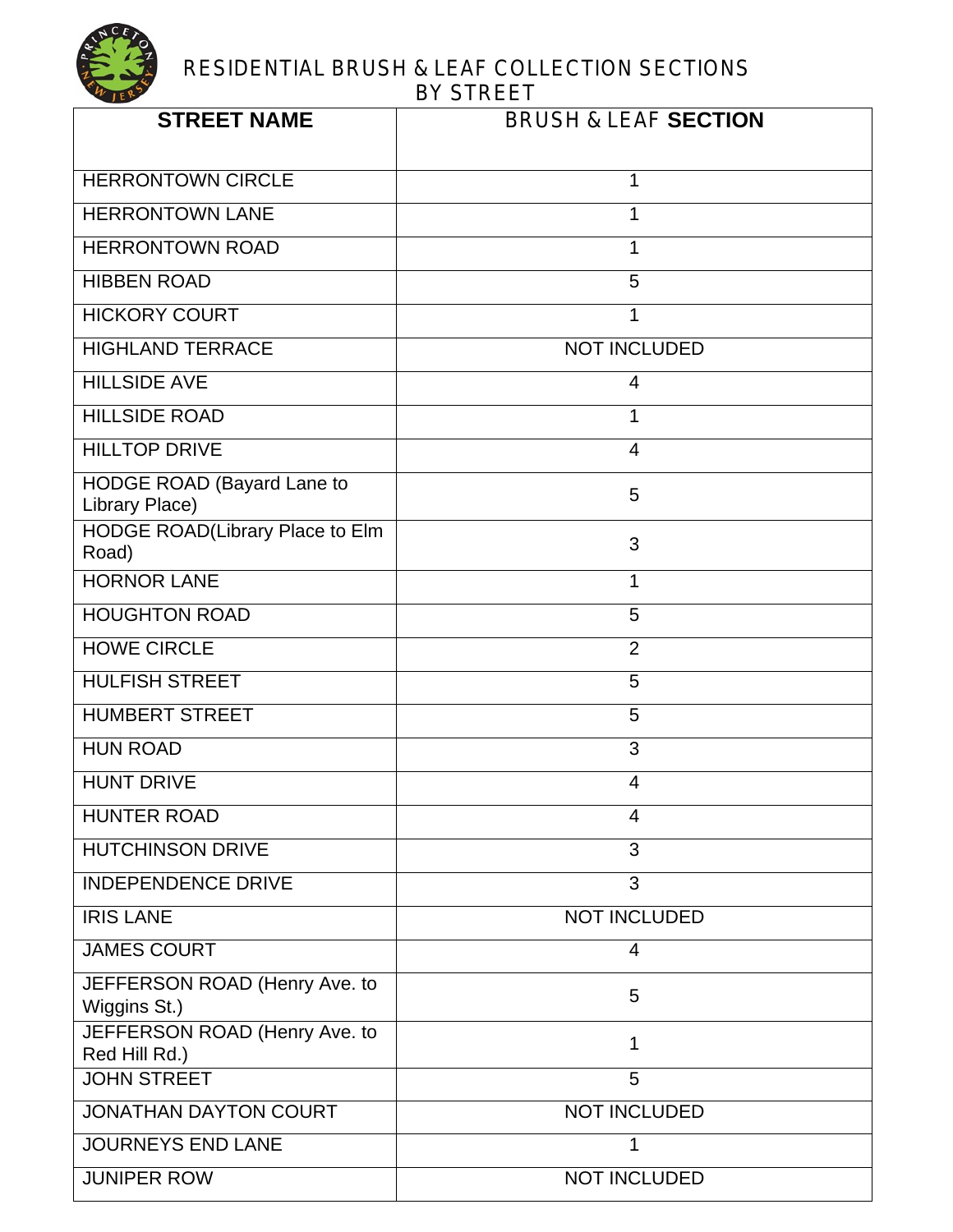

| <b>STREET NAME</b>                                  | <b>BRUSH &amp; LEAF SECTION</b> |
|-----------------------------------------------------|---------------------------------|
| <b>HERRONTOWN CIRCLE</b>                            | 1                               |
| <b>HERRONTOWN LANE</b>                              | 1                               |
| <b>HERRONTOWN ROAD</b>                              | 1                               |
| <b>HIBBEN ROAD</b>                                  | 5                               |
| <b>HICKORY COURT</b>                                | 1                               |
| <b>HIGHLAND TERRACE</b>                             | <b>NOT INCLUDED</b>             |
| <b>HILLSIDE AVE</b>                                 | 4                               |
| <b>HILLSIDE ROAD</b>                                | 1                               |
| <b>HILLTOP DRIVE</b>                                | 4                               |
| <b>HODGE ROAD (Bayard Lane to</b><br>Library Place) | 5                               |
| HODGE ROAD(Library Place to Elm<br>Road)            | 3                               |
| <b>HORNOR LANE</b>                                  | 1                               |
| <b>HOUGHTON ROAD</b>                                | 5                               |
| <b>HOWE CIRCLE</b>                                  | $\overline{2}$                  |
| <b>HULFISH STREET</b>                               | 5                               |
| <b>HUMBERT STREET</b>                               | 5                               |
| <b>HUN ROAD</b>                                     | 3                               |
| <b>HUNT DRIVE</b>                                   | 4                               |
| <b>HUNTER ROAD</b>                                  | 4                               |
| <b>HUTCHINSON DRIVE</b>                             | 3                               |
| <b>INDEPENDENCE DRIVE</b>                           | 3                               |
| <b>IRIS LANE</b>                                    | <b>NOT INCLUDED</b>             |
| <b>JAMES COURT</b>                                  | 4                               |
| JEFFERSON ROAD (Henry Ave. to<br>Wiggins St.)       | 5                               |
| JEFFERSON ROAD (Henry Ave. to<br>Red Hill Rd.)      | 1                               |
| <b>JOHN STREET</b>                                  | 5                               |
| <b>JONATHAN DAYTON COURT</b>                        | <b>NOT INCLUDED</b>             |
| <b>JOURNEYS END LANE</b>                            | 1                               |
| <b>JUNIPER ROW</b>                                  | <b>NOT INCLUDED</b>             |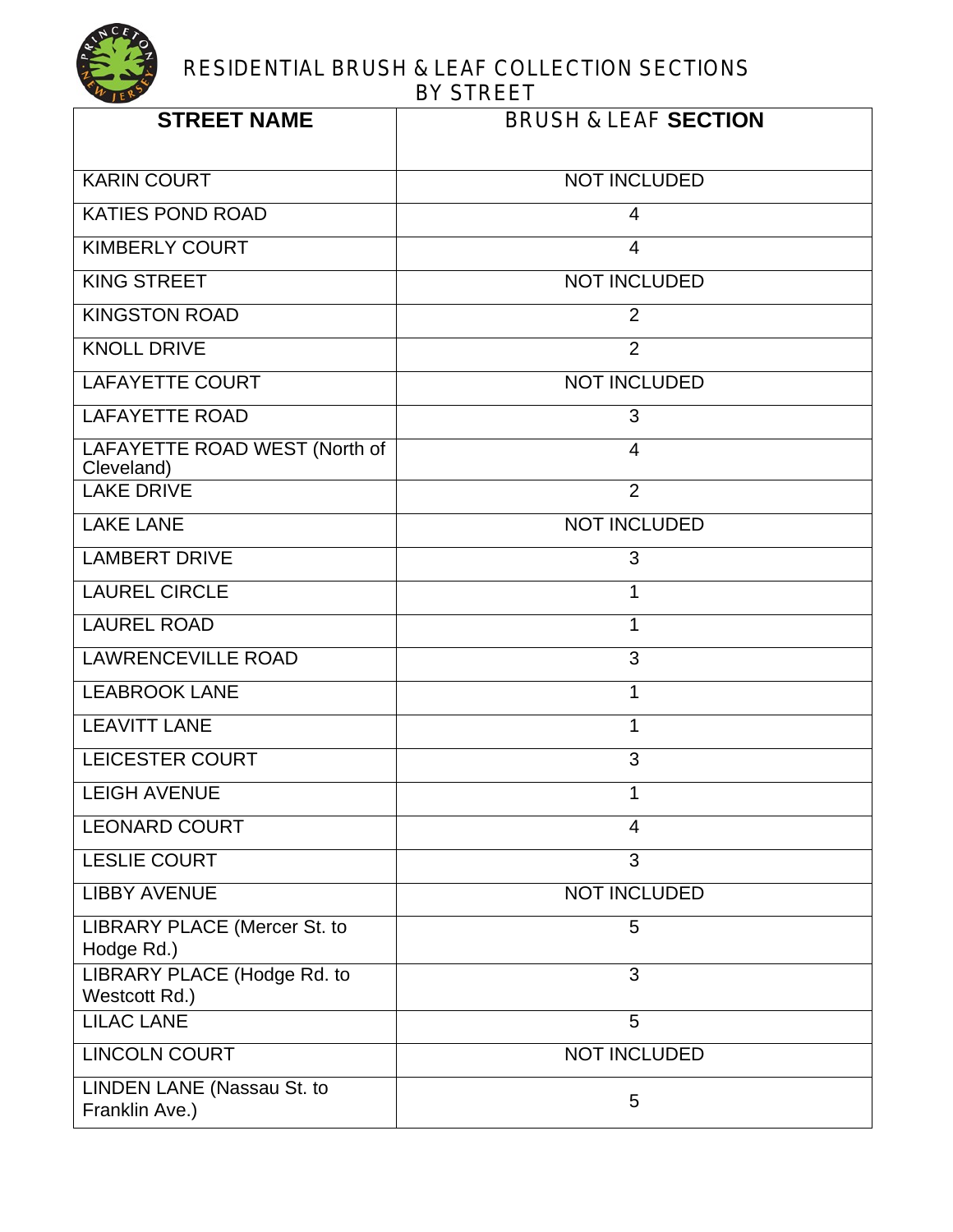| <b>STREET NAME</b>                           | <b>BRUSH &amp; LEAF SECTION</b> |
|----------------------------------------------|---------------------------------|
| <b>KARIN COURT</b>                           | <b>NOT INCLUDED</b>             |
| <b>KATIES POND ROAD</b>                      | $\overline{4}$                  |
| <b>KIMBERLY COURT</b>                        | $\overline{4}$                  |
| <b>KING STREET</b>                           | <b>NOT INCLUDED</b>             |
| <b>KINGSTON ROAD</b>                         | $\overline{2}$                  |
| <b>KNOLL DRIVE</b>                           | 2                               |
| <b>LAFAYETTE COURT</b>                       | <b>NOT INCLUDED</b>             |
| <b>LAFAYETTE ROAD</b>                        | 3                               |
| LAFAYETTE ROAD WEST (North of<br>Cleveland)  | $\overline{4}$                  |
| <b>LAKE DRIVE</b>                            | $\overline{2}$                  |
| <b>LAKE LANE</b>                             | <b>NOT INCLUDED</b>             |
| <b>LAMBERT DRIVE</b>                         | 3                               |
| <b>LAUREL CIRCLE</b>                         | 1                               |
| <b>LAUREL ROAD</b>                           | 1                               |
| <b>LAWRENCEVILLE ROAD</b>                    | 3                               |
| <b>LEABROOK LANE</b>                         | $\mathbf{1}$                    |
| <b>LEAVITT LANE</b>                          | 1                               |
| <b>LEICESTER COURT</b>                       | 3                               |
| <b>LEIGH AVENUE</b>                          | 1                               |
| <b>LEONARD COURT</b>                         | 4                               |
| <b>LESLIE COURT</b>                          | 3                               |
| <b>LIBBY AVENUE</b>                          | <b>NOT INCLUDED</b>             |
| LIBRARY PLACE (Mercer St. to<br>Hodge Rd.)   | 5                               |
| LIBRARY PLACE (Hodge Rd. to<br>Westcott Rd.) | 3                               |
| <b>LILAC LANE</b>                            | 5                               |
| <b>LINCOLN COURT</b>                         | <b>NOT INCLUDED</b>             |
| LINDEN LANE (Nassau St. to<br>Franklin Ave.) | 5                               |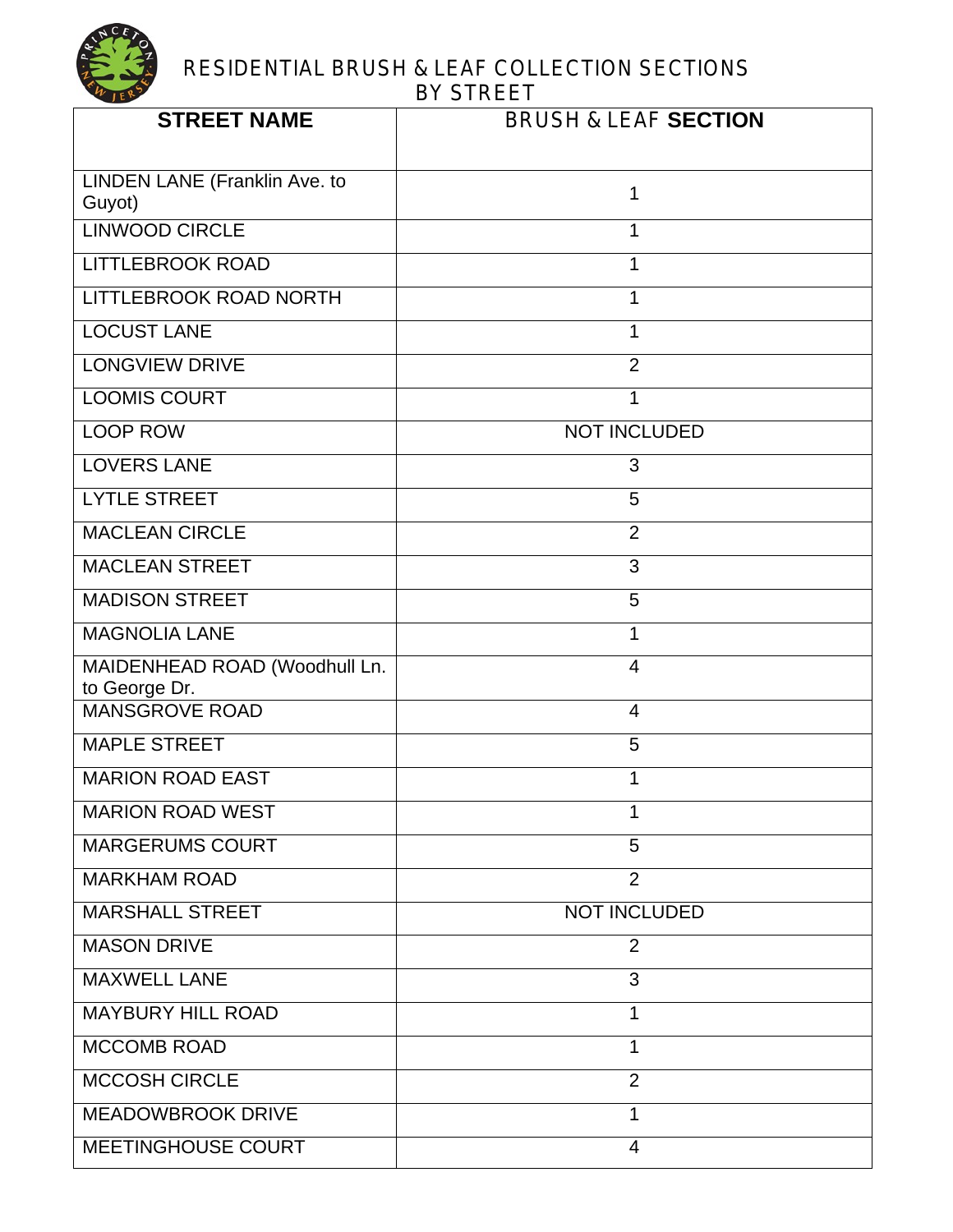

| <b>STREET NAME</b>                             | <b>BRUSH &amp; LEAF SECTION</b> |
|------------------------------------------------|---------------------------------|
| LINDEN LANE (Franklin Ave. to<br>Guyot)        | 1                               |
| <b>LINWOOD CIRCLE</b>                          | 1                               |
| <b>LITTLEBROOK ROAD</b>                        | 1                               |
| LITTLEBROOK ROAD NORTH                         | 1                               |
| <b>LOCUST LANE</b>                             | $\mathbf 1$                     |
| <b>LONGVIEW DRIVE</b>                          | $\overline{2}$                  |
| <b>LOOMIS COURT</b>                            | 1                               |
| <b>LOOP ROW</b>                                | <b>NOT INCLUDED</b>             |
| <b>LOVERS LANE</b>                             | 3                               |
| <b>LYTLE STREET</b>                            | 5                               |
| <b>MACLEAN CIRCLE</b>                          | $\overline{2}$                  |
| <b>MACLEAN STREET</b>                          | 3                               |
| <b>MADISON STREET</b>                          | 5                               |
| <b>MAGNOLIA LANE</b>                           | $\mathbf{1}$                    |
| MAIDENHEAD ROAD (Woodhull Ln.<br>to George Dr. | $\overline{4}$                  |
| <b>MANSGROVE ROAD</b>                          | $\overline{4}$                  |
| <b>MAPLE STREET</b>                            | 5                               |
| <b>MARION ROAD EAST</b>                        | 1                               |
| <b>MARION ROAD WEST</b>                        | 1                               |
| <b>MARGERUMS COURT</b>                         | 5                               |
| <b>MARKHAM ROAD</b>                            | $\overline{2}$                  |
| <b>MARSHALL STREET</b>                         | <b>NOT INCLUDED</b>             |
| <b>MASON DRIVE</b>                             | $\overline{2}$                  |
| <b>MAXWELL LANE</b>                            | 3                               |
| <b>MAYBURY HILL ROAD</b>                       | 1                               |
| <b>MCCOMB ROAD</b>                             | $\mathbf{1}$                    |
| <b>MCCOSH CIRCLE</b>                           | $\overline{2}$                  |
| <b>MEADOWBROOK DRIVE</b>                       | 1                               |
| MEETINGHOUSE COURT                             | $\overline{4}$                  |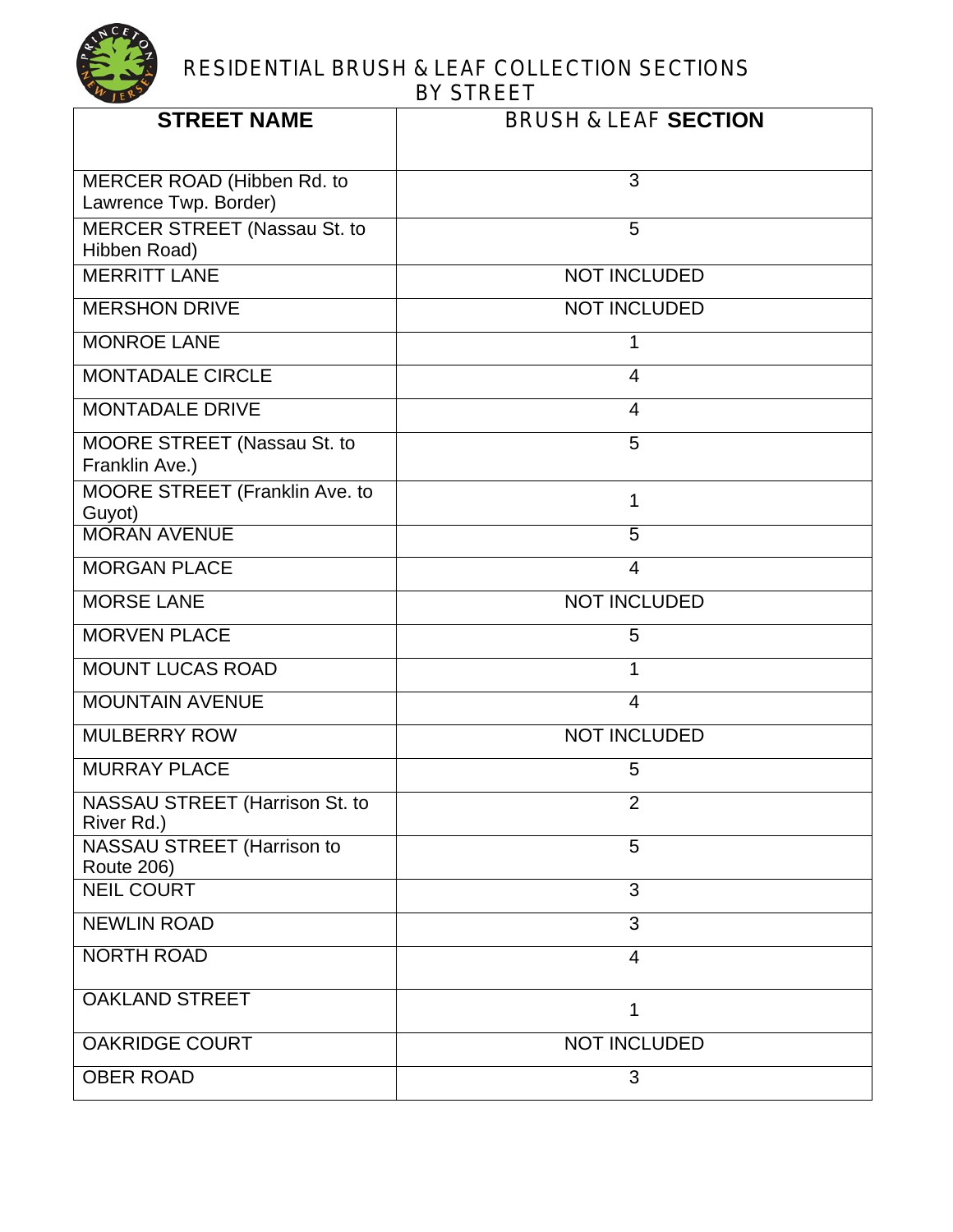

| <b>STREET NAME</b>                                  | <b>BRUSH &amp; LEAF SECTION</b> |
|-----------------------------------------------------|---------------------------------|
| MERCER ROAD (Hibben Rd. to<br>Lawrence Twp. Border) | 3                               |
| <b>MERCER STREET (Nassau St. to</b><br>Hibben Road) | 5                               |
| <b>MERRITT LANE</b>                                 | <b>NOT INCLUDED</b>             |
| <b>MERSHON DRIVE</b>                                | <b>NOT INCLUDED</b>             |
| <b>MONROE LANE</b>                                  | 1                               |
| <b>MONTADALE CIRCLE</b>                             | $\overline{4}$                  |
| <b>MONTADALE DRIVE</b>                              | $\overline{4}$                  |
| MOORE STREET (Nassau St. to<br>Franklin Ave.)       | 5                               |
| MOORE STREET (Franklin Ave. to<br>Guyot)            | 1                               |
| <b>MORAN AVENUE</b>                                 | 5                               |
| <b>MORGAN PLACE</b>                                 | $\overline{4}$                  |
| <b>MORSE LANE</b>                                   | <b>NOT INCLUDED</b>             |
| <b>MORVEN PLACE</b>                                 | 5                               |
| <b>MOUNT LUCAS ROAD</b>                             | 1                               |
| <b>MOUNTAIN AVENUE</b>                              | $\overline{4}$                  |
| <b>MULBERRY ROW</b>                                 | <b>NOT INCLUDED</b>             |
| <b>MURRAY PLACE</b>                                 | 5                               |
| NASSAU STREET (Harrison St. to<br>River Rd.)        | $\overline{2}$                  |
| NASSAU STREET (Harrison to<br><b>Route 206)</b>     | 5                               |
| <b>NEIL COURT</b>                                   | 3                               |
| <b>NEWLIN ROAD</b>                                  | 3                               |
| <b>NORTH ROAD</b>                                   | $\overline{4}$                  |
| <b>OAKLAND STREET</b>                               | 1                               |
| <b>OAKRIDGE COURT</b>                               | <b>NOT INCLUDED</b>             |
| <b>OBER ROAD</b>                                    | 3                               |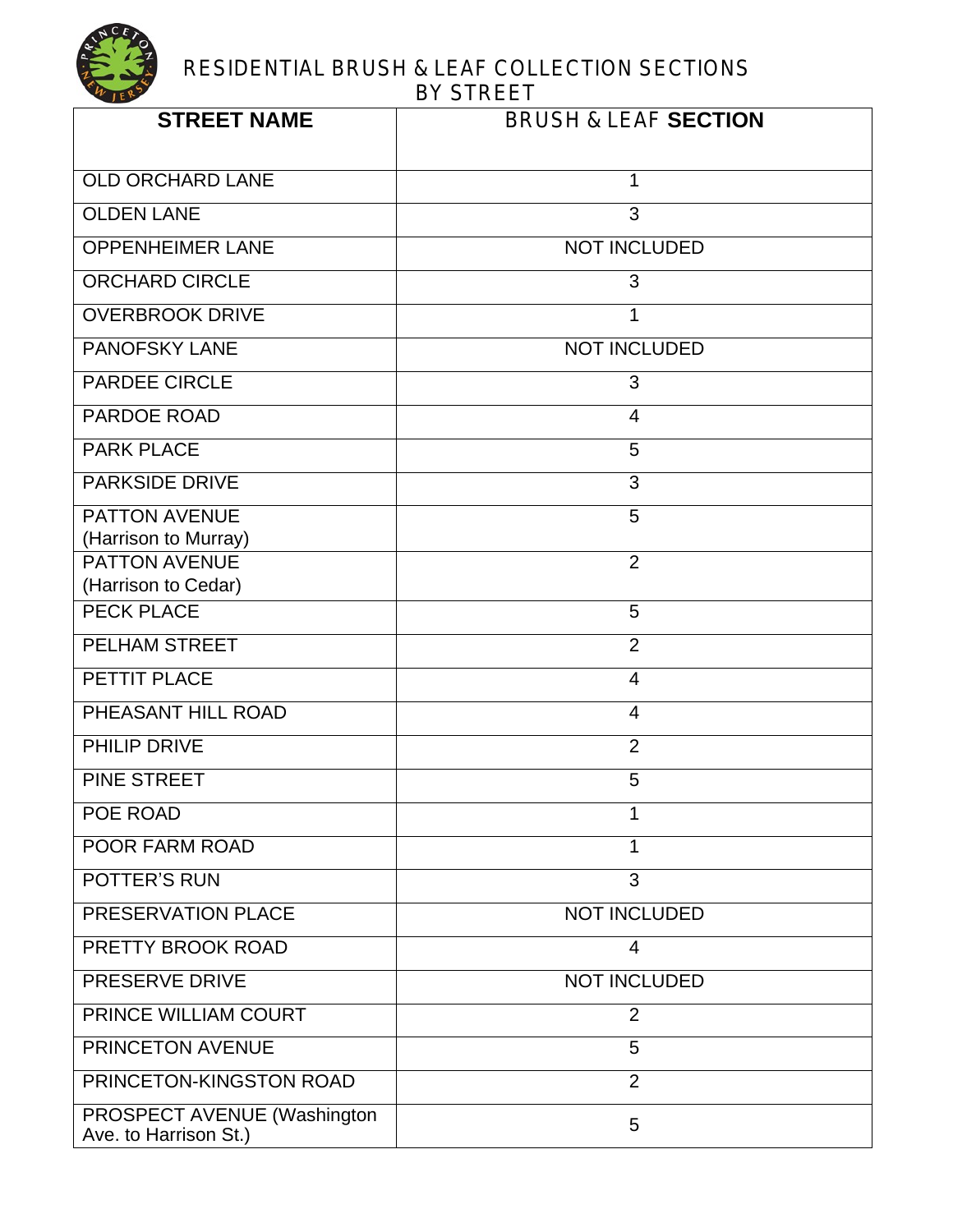| <b>STREET NAME</b>                                   | <b>BRUSH &amp; LEAF SECTION</b> |
|------------------------------------------------------|---------------------------------|
| <b>OLD ORCHARD LANE</b>                              | 1                               |
| <b>OLDEN LANE</b>                                    | 3                               |
| <b>OPPENHEIMER LANE</b>                              | <b>NOT INCLUDED</b>             |
| <b>ORCHARD CIRCLE</b>                                | 3                               |
| <b>OVERBROOK DRIVE</b>                               | 1                               |
| <b>PANOFSKY LANE</b>                                 | <b>NOT INCLUDED</b>             |
| <b>PARDEE CIRCLE</b>                                 | 3                               |
| <b>PARDOE ROAD</b>                                   | $\overline{4}$                  |
| <b>PARK PLACE</b>                                    | 5                               |
| <b>PARKSIDE DRIVE</b>                                | 3                               |
| <b>PATTON AVENUE</b>                                 | 5                               |
| (Harrison to Murray)<br><b>PATTON AVENUE</b>         | $\overline{2}$                  |
| (Harrison to Cedar)                                  |                                 |
| <b>PECK PLACE</b>                                    | 5                               |
| <b>PELHAM STREET</b>                                 | $\overline{2}$                  |
| PETTIT PLACE                                         | $\overline{4}$                  |
| PHEASANT HILL ROAD                                   | $\overline{4}$                  |
| <b>PHILIP DRIVE</b>                                  | $\overline{2}$                  |
| PINE STREET                                          | 5                               |
| <b>POE ROAD</b>                                      |                                 |
| <b>POOR FARM ROAD</b>                                | 1                               |
| <b>POTTER'S RUN</b>                                  | 3                               |
| PRESERVATION PLACE                                   | <b>NOT INCLUDED</b>             |
| PRETTY BROOK ROAD                                    | $\overline{4}$                  |
| <b>PRESERVE DRIVE</b>                                | <b>NOT INCLUDED</b>             |
| PRINCE WILLIAM COURT                                 | $\overline{2}$                  |
| PRINCETON AVENUE                                     | 5                               |
| PRINCETON-KINGSTON ROAD                              | $\overline{2}$                  |
| PROSPECT AVENUE (Washington<br>Ave. to Harrison St.) | 5                               |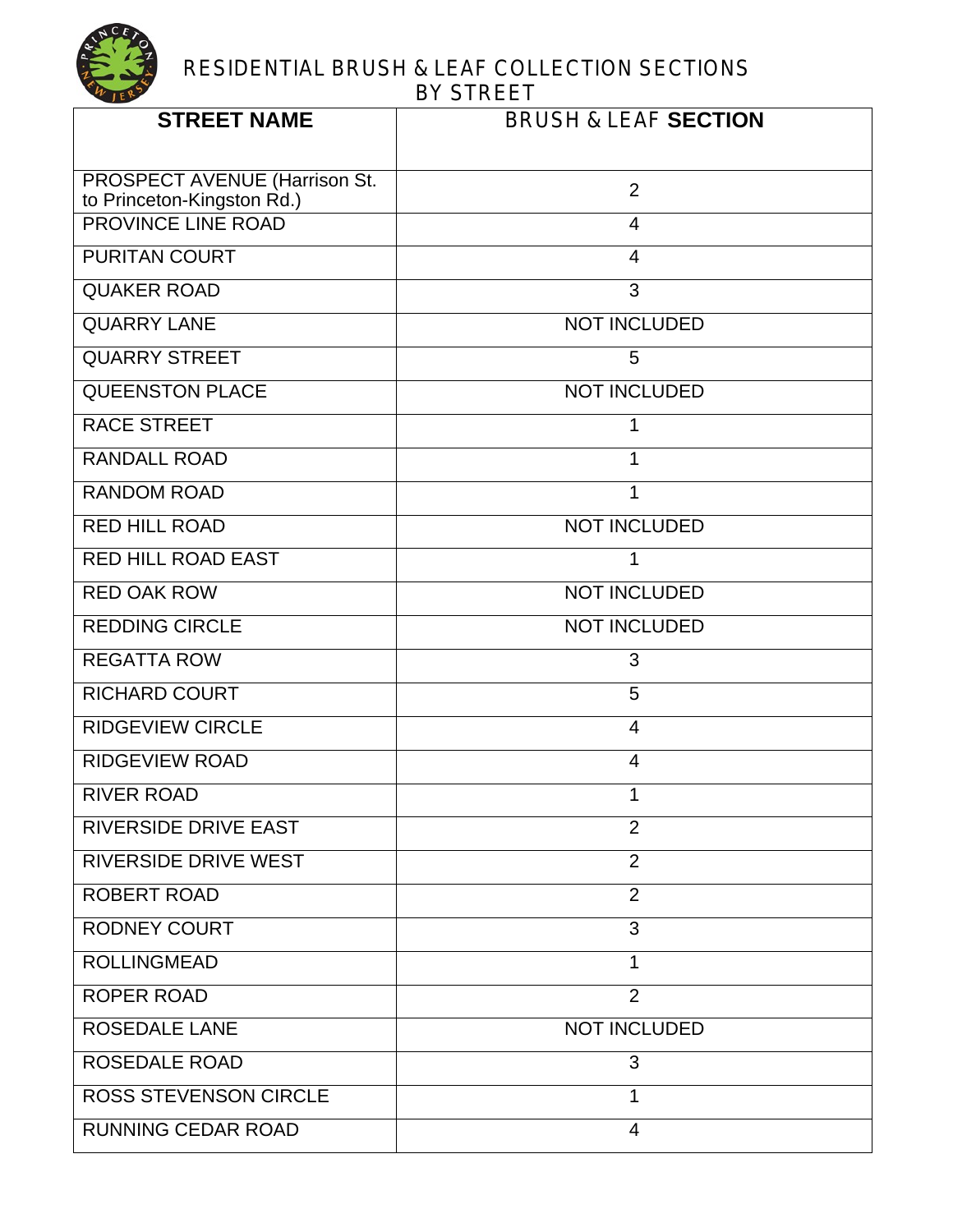

| <b>STREET NAME</b>                                          | <b>BRUSH &amp; LEAF SECTION</b> |
|-------------------------------------------------------------|---------------------------------|
| PROSPECT AVENUE (Harrison St.<br>to Princeton-Kingston Rd.) | 2                               |
| <b>PROVINCE LINE ROAD</b>                                   | $\overline{4}$                  |
| <b>PURITAN COURT</b>                                        | $\overline{4}$                  |
| <b>QUAKER ROAD</b>                                          | 3                               |
| <b>QUARRY LANE</b>                                          | <b>NOT INCLUDED</b>             |
| <b>QUARRY STREET</b>                                        | 5                               |
| <b>QUEENSTON PLACE</b>                                      | <b>NOT INCLUDED</b>             |
| <b>RACE STREET</b>                                          | 1                               |
| <b>RANDALL ROAD</b>                                         | 1                               |
| <b>RANDOM ROAD</b>                                          | 1                               |
| <b>RED HILL ROAD</b>                                        | <b>NOT INCLUDED</b>             |
| <b>RED HILL ROAD EAST</b>                                   | 1                               |
| <b>RED OAK ROW</b>                                          | <b>NOT INCLUDED</b>             |
| <b>REDDING CIRCLE</b>                                       | <b>NOT INCLUDED</b>             |
| <b>REGATTA ROW</b>                                          | 3                               |
| <b>RICHARD COURT</b>                                        | 5                               |
| <b>RIDGEVIEW CIRCLE</b>                                     | 4                               |
| <b>RIDGEVIEW ROAD</b>                                       | $\overline{4}$                  |
| <b>RIVER ROAD</b>                                           | 1                               |
| <b>RIVERSIDE DRIVE EAST</b>                                 | $\overline{2}$                  |
| <b>RIVERSIDE DRIVE WEST</b>                                 | $\overline{2}$                  |
| <b>ROBERT ROAD</b>                                          | $\overline{2}$                  |
| <b>RODNEY COURT</b>                                         | 3                               |
| <b>ROLLINGMEAD</b>                                          | 1                               |
| <b>ROPER ROAD</b>                                           | $\overline{2}$                  |
| <b>ROSEDALE LANE</b>                                        | <b>NOT INCLUDED</b>             |
| <b>ROSEDALE ROAD</b>                                        | 3                               |
| <b>ROSS STEVENSON CIRCLE</b>                                | 1                               |
| <b>RUNNING CEDAR ROAD</b>                                   | $\overline{4}$                  |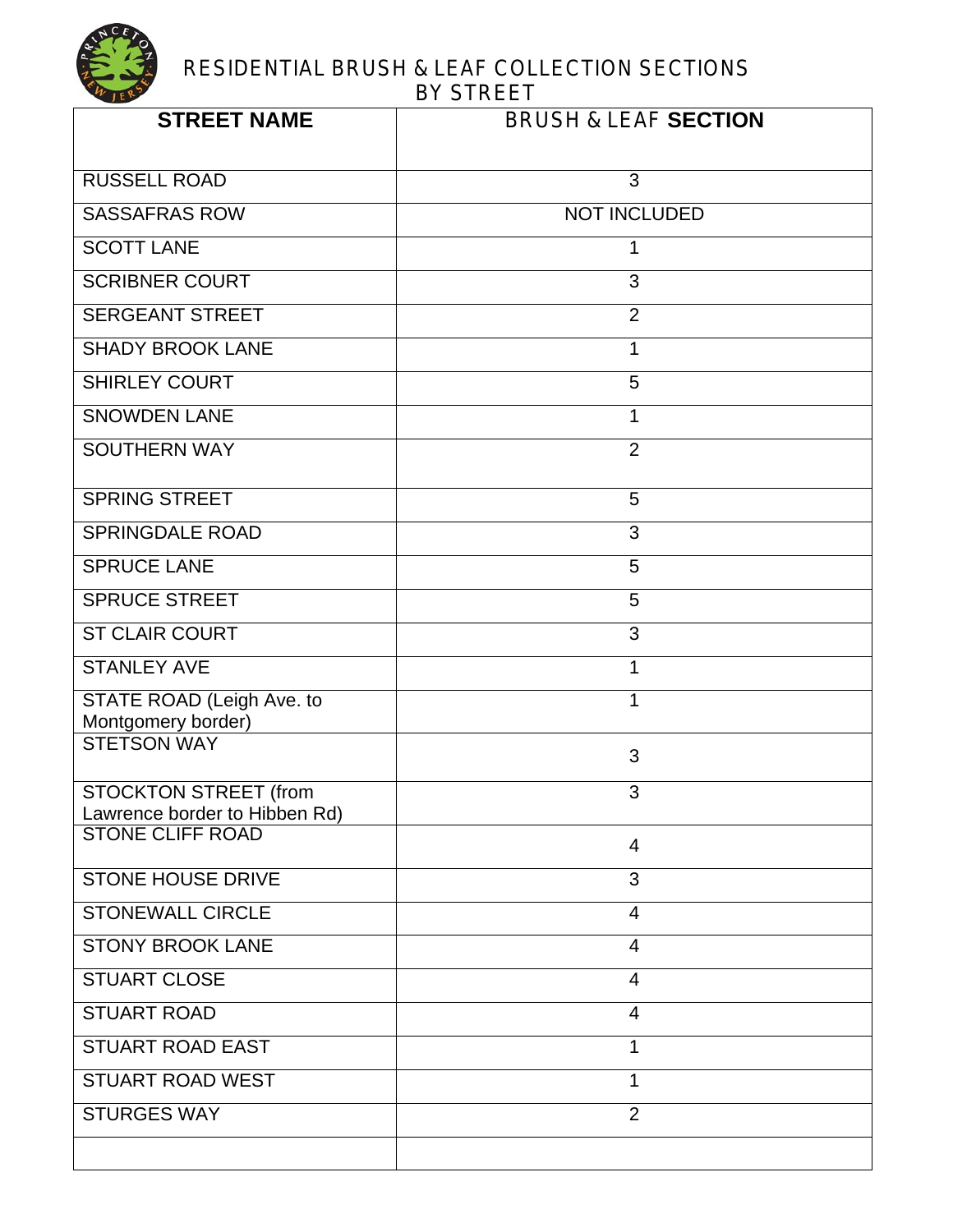| <b>STREET NAME</b>                                     | <b>BRUSH &amp; LEAF SECTION</b> |
|--------------------------------------------------------|---------------------------------|
| <b>RUSSELL ROAD</b>                                    | 3                               |
| <b>SASSAFRAS ROW</b>                                   | <b>NOT INCLUDED</b>             |
| <b>SCOTT LANE</b>                                      | 1                               |
| <b>SCRIBNER COURT</b>                                  | 3                               |
| <b>SERGEANT STREET</b>                                 | $\overline{2}$                  |
| <b>SHADY BROOK LANE</b>                                | 1                               |
| <b>SHIRLEY COURT</b>                                   | 5                               |
| <b>SNOWDEN LANE</b>                                    | 1                               |
| <b>SOUTHERN WAY</b>                                    | $\overline{2}$                  |
| <b>SPRING STREET</b>                                   | 5                               |
| <b>SPRINGDALE ROAD</b>                                 | 3                               |
| <b>SPRUCE LANE</b>                                     | 5                               |
| <b>SPRUCE STREET</b>                                   | 5                               |
| <b>ST CLAIR COURT</b>                                  | 3                               |
| <b>STANLEY AVE</b>                                     | 1                               |
| STATE ROAD (Leigh Ave. to<br>Montgomery border)        | 1                               |
| <b>STETSON WAY</b>                                     | 3                               |
| STOCKTON STREET (from<br>Lawrence border to Hibben Rd) | 3                               |
| <b>STONE CLIFF ROAD</b>                                | $\overline{4}$                  |
| <b>STONE HOUSE DRIVE</b>                               | 3                               |
| <b>STONEWALL CIRCLE</b>                                | $\overline{4}$                  |
| <b>STONY BROOK LANE</b>                                | $\overline{4}$                  |
| <b>STUART CLOSE</b>                                    | $\overline{4}$                  |
| <b>STUART ROAD</b>                                     | $\overline{4}$                  |
| <b>STUART ROAD EAST</b>                                | 1                               |
| <b>STUART ROAD WEST</b>                                | 1                               |
| <b>STURGES WAY</b>                                     | $\overline{2}$                  |
|                                                        |                                 |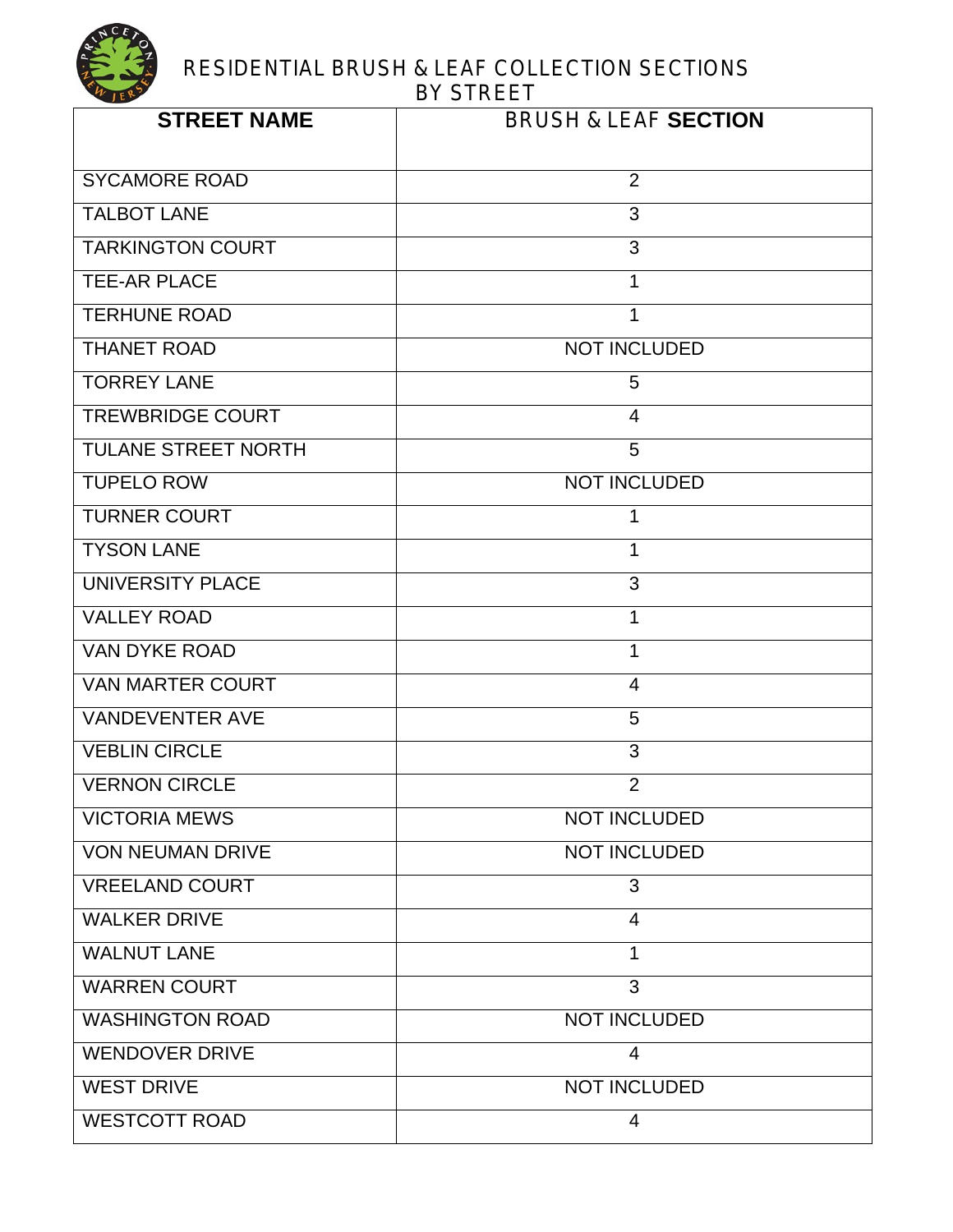

| <b>STREET NAME</b>         | <b>BRUSH &amp; LEAF SECTION</b> |
|----------------------------|---------------------------------|
| <b>SYCAMORE ROAD</b>       | 2                               |
| <b>TALBOT LANE</b>         | 3                               |
| <b>TARKINGTON COURT</b>    | 3                               |
| <b>TEE-AR PLACE</b>        | 1                               |
| <b>TERHUNE ROAD</b>        | $\mathbf{1}$                    |
| <b>THANET ROAD</b>         | <b>NOT INCLUDED</b>             |
| <b>TORREY LANE</b>         | 5                               |
| <b>TREWBRIDGE COURT</b>    | 4                               |
| <b>TULANE STREET NORTH</b> | 5                               |
| <b>TUPELO ROW</b>          | <b>NOT INCLUDED</b>             |
| <b>TURNER COURT</b>        | 1                               |
| <b>TYSON LANE</b>          | $\mathbf{1}$                    |
| <b>UNIVERSITY PLACE</b>    | 3                               |
| <b>VALLEY ROAD</b>         | 1                               |
| <b>VAN DYKE ROAD</b>       | $\mathbf{1}$                    |
| <b>VAN MARTER COURT</b>    | $\overline{4}$                  |
| <b>VANDEVENTER AVE</b>     | 5                               |
| <b>VEBLIN CIRCLE</b>       | 3                               |
| <b>VERNON CIRCLE</b>       | $\overline{2}$                  |
| <b>VICTORIA MEWS</b>       | <b>NOT INCLUDED</b>             |
| <b>VON NEUMAN DRIVE</b>    | <b>NOT INCLUDED</b>             |
| <b>VREELAND COURT</b>      | 3                               |
| <b>WALKER DRIVE</b>        | $\overline{4}$                  |
| <b>WALNUT LANE</b>         | 1                               |
| <b>WARREN COURT</b>        | 3                               |
| <b>WASHINGTON ROAD</b>     | <b>NOT INCLUDED</b>             |
| <b>WENDOVER DRIVE</b>      | $\overline{4}$                  |
| <b>WEST DRIVE</b>          | <b>NOT INCLUDED</b>             |
| <b>WESTCOTT ROAD</b>       | $\overline{4}$                  |